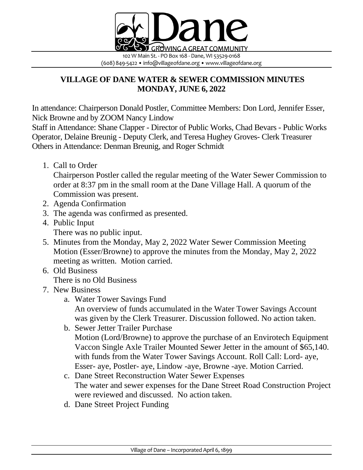

## **VILLAGE OF DANE WATER & SEWER COMMISSION MINUTES MONDAY, JUNE 6, 2022**

In attendance: Chairperson Donald Postler, Committee Members: Don Lord, Jennifer Esser, Nick Browne and by ZOOM Nancy Lindow

Staff in Attendance: Shane Clapper - Director of Public Works, Chad Bevars - Public Works Operator, Delaine Breunig - Deputy Clerk, and Teresa Hughey Groves- Clerk Treasurer Others in Attendance: Denman Breunig, and Roger Schmidt

1. Call to Order

Chairperson Postler called the regular meeting of the Water Sewer Commission to order at 8:37 pm in the small room at the Dane Village Hall. A quorum of the Commission was present.

- 2. Agenda Confirmation
- 3. The agenda was confirmed as presented.
- 4. Public Input There was no public input.
- 5. Minutes from the Monday, May 2, 2022 Water Sewer Commission Meeting Motion (Esser/Browne) to approve the minutes from the Monday, May 2, 2022 meeting as written. Motion carried.
- 6. Old Business

There is no Old Business

- 7. New Business
	- a. Water Tower Savings Fund An overview of funds accumulated in the Water Tower Savings Account was given by the Clerk Treasurer. Discussion followed. No action taken.
	- b. Sewer Jetter Trailer Purchase Motion (Lord/Browne) to approve the purchase of an Envirotech Equipment Vaccon Single Axle Trailer Mounted Sewer Jetter in the amount of \$65,140. with funds from the Water Tower Savings Account. Roll Call: Lord- aye, Esser- aye, Postler- aye, Lindow -aye, Browne -aye. Motion Carried.
	- c. Dane Street Reconstruction Water Sewer Expenses The water and sewer expenses for the Dane Street Road Construction Project were reviewed and discussed. No action taken.
	- d. Dane Street Project Funding